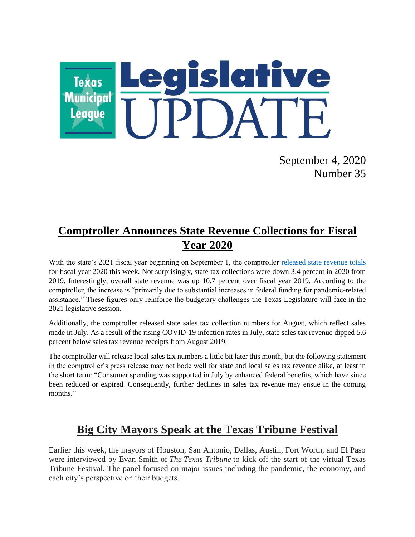

September 4, 2020 Number 35

# **Comptroller Announces State Revenue Collections for Fiscal Year 2020**

With the state's 2021 fiscal year beginning on September 1, the comptroller [released state revenue totals](https://comptroller.texas.gov/about/media-center/news/2020/200901-sales-tax.php) for fiscal year 2020 this week. Not surprisingly, state tax collections were down 3.4 percent in 2020 from 2019. Interestingly, overall state revenue was up 10.7 percent over fiscal year 2019. According to the comptroller, the increase is "primarily due to substantial increases in federal funding for pandemic-related assistance." These figures only reinforce the budgetary challenges the Texas Legislature will face in the 2021 legislative session.

Additionally, the comptroller released state sales tax collection numbers for August, which reflect sales made in July. As a result of the rising COVID-19 infection rates in July, state sales tax revenue dipped 5.6 percent below sales tax revenue receipts from August 2019.

The comptroller will release local sales tax numbers a little bit later this month, but the following statement in the comptroller's press release may not bode well for state and local sales tax revenue alike, at least in the short term: "Consumer spending was supported in July by enhanced federal benefits, which have since been reduced or expired. Consequently, further declines in sales tax revenue may ensue in the coming months."

# **Big City Mayors Speak at the Texas Tribune Festival**

Earlier this week, the mayors of Houston, San Antonio, Dallas, Austin, Fort Worth, and El Paso were interviewed by Evan Smith of *The Texas Tribune* to kick off the start of the virtual Texas Tribune Festival. The panel focused on major issues including the pandemic, the economy, and each city's perspective on their budgets.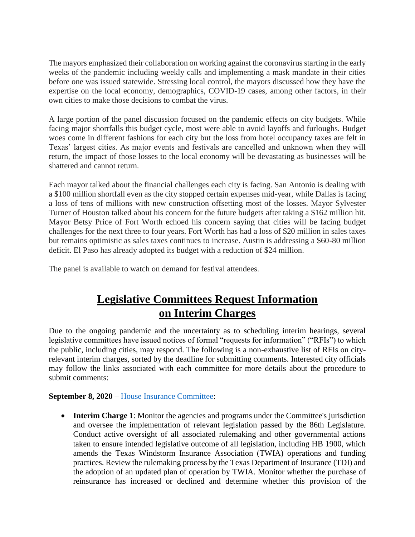The mayors emphasized their collaboration on working against the coronavirus starting in the early weeks of the pandemic including weekly calls and implementing a mask mandate in their cities before one was issued statewide. Stressing local control, the mayors discussed how they have the expertise on the local economy, demographics, COVID-19 cases, among other factors, in their own cities to make those decisions to combat the virus.

A large portion of the panel discussion focused on the pandemic effects on city budgets. While facing major shortfalls this budget cycle, most were able to avoid layoffs and furloughs. Budget woes come in different fashions for each city but the loss from hotel occupancy taxes are felt in Texas' largest cities. As major events and festivals are cancelled and unknown when they will return, the impact of those losses to the local economy will be devastating as businesses will be shattered and cannot return.

Each mayor talked about the financial challenges each city is facing. San Antonio is dealing with a \$100 million shortfall even as the city stopped certain expenses mid-year, while Dallas is facing a loss of tens of millions with new construction offsetting most of the losses. Mayor Sylvester Turner of Houston talked about his concern for the future budgets after taking a \$162 million hit. Mayor Betsy Price of Fort Worth echoed his concern saying that cities will be facing budget challenges for the next three to four years. Fort Worth has had a loss of \$20 million in sales taxes but remains optimistic as sales taxes continues to increase. Austin is addressing a \$60-80 million deficit. El Paso has already adopted its budget with a reduction of \$24 million.

The panel is available to watch on demand for festival attendees.

# **Legislative Committees Request Information on Interim Charges**

Due to the ongoing pandemic and the uncertainty as to scheduling interim hearings, several legislative committees have issued notices of formal "requests for information" ("RFIs") to which the public, including cities, may respond. The following is a non-exhaustive list of RFIs on cityrelevant interim charges, sorted by the deadline for submitting comments. Interested city officials may follow the links associated with each committee for more details about the procedure to submit comments:

# **September 8, 2020** – [House Insurance Committee:](https://capitol.texas.gov/tlodocs/86R/schedules/pdf/C3202020081100001.pdf)

• **Interim Charge 1**: Monitor the agencies and programs under the Committee's jurisdiction and oversee the implementation of relevant legislation passed by the 86th Legislature. Conduct active oversight of all associated rulemaking and other governmental actions taken to ensure intended legislative outcome of all legislation, including HB 1900, which amends the Texas Windstorm Insurance Association (TWIA) operations and funding practices. Review the rulemaking process by the Texas Department of Insurance (TDI) and the adoption of an updated plan of operation by TWIA. Monitor whether the purchase of reinsurance has increased or declined and determine whether this provision of the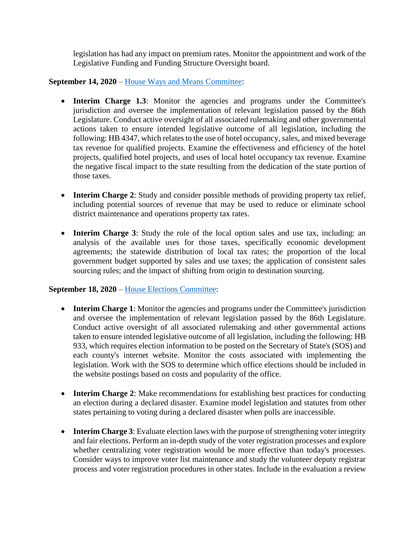legislation has had any impact on premium rates. Monitor the appointment and work of the Legislative Funding and Funding Structure Oversight board.

#### **September 14, 2020** – [House Ways and Means Committee:](https://capitol.texas.gov/tlodocs/86R/schedules/pdf/C4902020072900001.pdf)

- **Interim Charge 1.3**: Monitor the agencies and programs under the Committee's jurisdiction and oversee the implementation of relevant legislation passed by the 86th Legislature. Conduct active oversight of all associated rulemaking and other governmental actions taken to ensure intended legislative outcome of all legislation, including the following: HB 4347, which relates to the use of hotel occupancy, sales, and mixed beverage tax revenue for qualified projects. Examine the effectiveness and efficiency of the hotel projects, qualified hotel projects, and uses of local hotel occupancy tax revenue. Examine the negative fiscal impact to the state resulting from the dedication of the state portion of those taxes.
- **Interim Charge 2**: Study and consider possible methods of providing property tax relief, including potential sources of revenue that may be used to reduce or eliminate school district maintenance and operations property tax rates.
- **Interim Charge 3**: Study the role of the local option sales and use tax, including: an analysis of the available uses for those taxes, specifically economic development agreements; the statewide distribution of local tax rates; the proportion of the local government budget supported by sales and use taxes; the application of consistent sales sourcing rules; and the impact of shifting from origin to destination sourcing.

# **September 18, 2020** – [House Elections Committee:](https://capitol.texas.gov/tlodocs/86R/schedules/pdf/C2402020080700001.pdf)

- **Interim Charge 1**: Monitor the agencies and programs under the Committee's jurisdiction and oversee the implementation of relevant legislation passed by the 86th Legislature. Conduct active oversight of all associated rulemaking and other governmental actions taken to ensure intended legislative outcome of all legislation, including the following: HB 933, which requires election information to be posted on the Secretary of State's (SOS) and each county's internet website. Monitor the costs associated with implementing the legislation. Work with the SOS to determine which office elections should be included in the website postings based on costs and popularity of the office.
- **Interim Charge 2**: Make recommendations for establishing best practices for conducting an election during a declared disaster. Examine model legislation and statutes from other states pertaining to voting during a declared disaster when polls are inaccessible.
- **Interim Charge 3**: Evaluate election laws with the purpose of strengthening voter integrity and fair elections. Perform an in-depth study of the voter registration processes and explore whether centralizing voter registration would be more effective than today's processes. Consider ways to improve voter list maintenance and study the volunteer deputy registrar process and voter registration procedures in other states. Include in the evaluation a review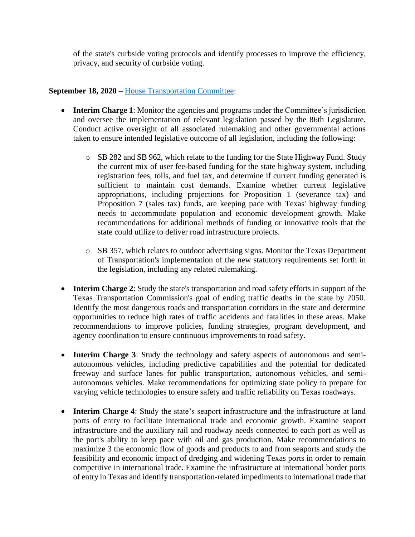of the state's curbside voting protocols and identify processes to improve the efficiency, privacy, and security of curbside voting.

#### **September 18, 2020** – [House Transportation Committee:](https://capitol.texas.gov/tlodocs/86R/schedules/pdf/C4702020081700001.pdf)

- **Interim Charge 1**: Monitor the agencies and programs under the Committee's jurisdiction and oversee the implementation of relevant legislation passed by the 86th Legislature. Conduct active oversight of all associated rulemaking and other governmental actions taken to ensure intended legislative outcome of all legislation, including the following:
	- o SB 282 and SB 962, which relate to the funding for the State Highway Fund. Study the current mix of user fee-based funding for the state highway system, including registration fees, tolls, and fuel tax, and determine if current funding generated is sufficient to maintain cost demands. Examine whether current legislative appropriations, including projections for Proposition 1 (severance tax) and Proposition 7 (sales tax) funds, are keeping pace with Texas' highway funding needs to accommodate population and economic development growth. Make recommendations for additional methods of funding or innovative tools that the state could utilize to deliver road infrastructure projects.
	- o SB 357, which relates to outdoor advertising signs. Monitor the Texas Department of Transportation's implementation of the new statutory requirements set forth in the legislation, including any related rulemaking.
- **Interim Charge 2**: Study the state's transportation and road safety efforts in support of the Texas Transportation Commission's goal of ending traffic deaths in the state by 2050. Identify the most dangerous roads and transportation corridors in the state and determine opportunities to reduce high rates of traffic accidents and fatalities in these areas. Make recommendations to improve policies, funding strategies, program development, and agency coordination to ensure continuous improvements to road safety.
- **Interim Charge 3**: Study the technology and safety aspects of autonomous and semiautonomous vehicles, including predictive capabilities and the potential for dedicated freeway and surface lanes for public transportation, autonomous vehicles, and semiautonomous vehicles. Make recommendations for optimizing state policy to prepare for varying vehicle technologies to ensure safety and traffic reliability on Texas roadways.
- **Interim Charge 4**: Study the state's seaport infrastructure and the infrastructure at land ports of entry to facilitate international trade and economic growth. Examine seaport infrastructure and the auxiliary rail and roadway needs connected to each port as well as the port's ability to keep pace with oil and gas production. Make recommendations to maximize 3 the economic flow of goods and products to and from seaports and study the feasibility and economic impact of dredging and widening Texas ports in order to remain competitive in international trade. Examine the infrastructure at international border ports of entry in Texas and identify transportation-related impediments to international trade that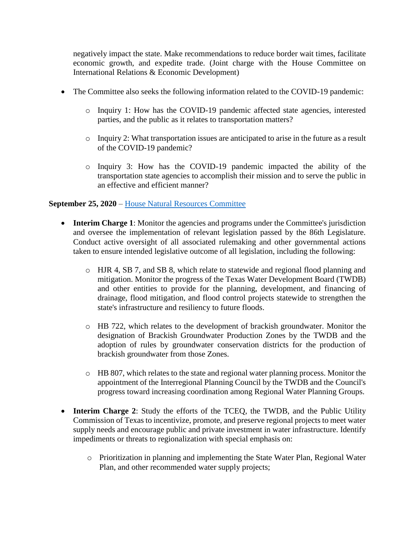negatively impact the state. Make recommendations to reduce border wait times, facilitate economic growth, and expedite trade. (Joint charge with the House Committee on International Relations & Economic Development)

- The Committee also seeks the following information related to the COVID-19 pandemic:
	- o Inquiry 1: How has the COVID-19 pandemic affected state agencies, interested parties, and the public as it relates to transportation matters?
	- $\circ$  Inquiry 2: What transportation issues are anticipated to arise in the future as a result of the COVID-19 pandemic?
	- o Inquiry 3: How has the COVID-19 pandemic impacted the ability of the transportation state agencies to accomplish their mission and to serve the public in an effective and efficient manner?

# **September 25, 2020** – [House Natural Resources Committee](https://capitol.texas.gov/tlodocs/86R/schedules/pdf/C3902020080100001.pdf)

- **Interim Charge 1**: Monitor the agencies and programs under the Committee's jurisdiction and oversee the implementation of relevant legislation passed by the 86th Legislature. Conduct active oversight of all associated rulemaking and other governmental actions taken to ensure intended legislative outcome of all legislation, including the following:
	- o HJR 4, SB 7, and SB 8, which relate to statewide and regional flood planning and mitigation. Monitor the progress of the Texas Water Development Board (TWDB) and other entities to provide for the planning, development, and financing of drainage, flood mitigation, and flood control projects statewide to strengthen the state's infrastructure and resiliency to future floods.
	- o HB 722, which relates to the development of brackish groundwater. Monitor the designation of Brackish Groundwater Production Zones by the TWDB and the adoption of rules by groundwater conservation districts for the production of brackish groundwater from those Zones.
	- o HB 807, which relates to the state and regional water planning process. Monitor the appointment of the Interregional Planning Council by the TWDB and the Council's progress toward increasing coordination among Regional Water Planning Groups.
- **Interim Charge 2**: Study the efforts of the TCEQ, the TWDB, and the Public Utility Commission of Texas to incentivize, promote, and preserve regional projects to meet water supply needs and encourage public and private investment in water infrastructure. Identify impediments or threats to regionalization with special emphasis on:
	- o Prioritization in planning and implementing the State Water Plan, Regional Water Plan, and other recommended water supply projects;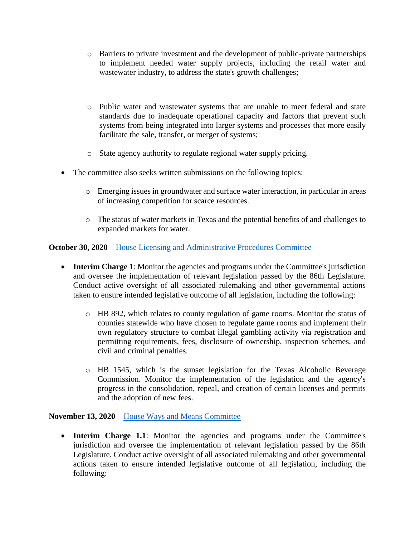- o Barriers to private investment and the development of public-private partnerships to implement needed water supply projects, including the retail water and wastewater industry, to address the state's growth challenges;
- o Public water and wastewater systems that are unable to meet federal and state standards due to inadequate operational capacity and factors that prevent such systems from being integrated into larger systems and processes that more easily facilitate the sale, transfer, or merger of systems;
- o State agency authority to regulate regional water supply pricing.
- The committee also seeks written submissions on the following topics:
	- o Emerging issues in groundwater and surface water interaction, in particular in areas of increasing competition for scarce resources.
	- o The status of water markets in Texas and the potential benefits of and challenges to expanded markets for water.

# **October 30, 2020** – [House Licensing and Administrative Procedures Committee](https://capitol.texas.gov/tlodocs/86R/schedules/pdf/C3502020081100001.pdf)

- **Interim Charge 1**: Monitor the agencies and programs under the Committee's jurisdiction and oversee the implementation of relevant legislation passed by the 86th Legislature. Conduct active oversight of all associated rulemaking and other governmental actions taken to ensure intended legislative outcome of all legislation, including the following:
	- o HB 892, which relates to county regulation of game rooms. Monitor the status of counties statewide who have chosen to regulate game rooms and implement their own regulatory structure to combat illegal gambling activity via registration and permitting requirements, fees, disclosure of ownership, inspection schemes, and civil and criminal penalties.
	- o HB 1545, which is the sunset legislation for the Texas Alcoholic Beverage Commission. Monitor the implementation of the legislation and the agency's progress in the consolidation, repeal, and creation of certain licenses and permits and the adoption of new fees.

# **November 13, 2020** – [House Ways and Means Committee](https://capitol.texas.gov/tlodocs/86R/schedules/pdf/C4902020072900002.pdf)

 **Interim Charge 1.1**: Monitor the agencies and programs under the Committee's jurisdiction and oversee the implementation of relevant legislation passed by the 86th Legislature. Conduct active oversight of all associated rulemaking and other governmental actions taken to ensure intended legislative outcome of all legislation, including the following: